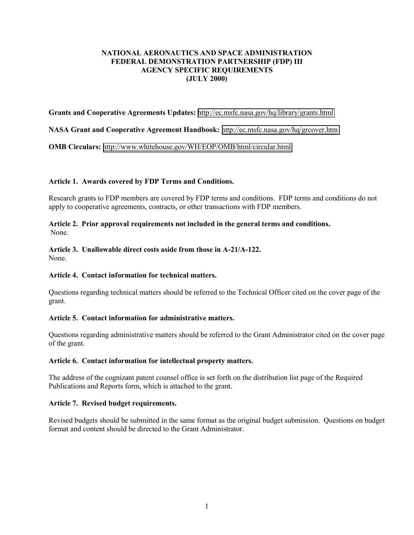# **NATIONAL AERONAUTICS AND SPACE ADMINISTRATION FEDERAL DEMONSTRATION PARTNERSHIP (FDP) III AGENCY SPECIFIC REQUIREMENTS (JULY 2000)**

#### **Grants and Cooperative Agreements Updates:** <http://ec.msfc.nasa.gov/hq/library/grants.html>

#### **NASA Grant and Cooperative Agreement Handbook:** <http://ec.msfc.nasa.gov/hq/grcover.htm>

**OMB Circulars:** <http://www.whitehouse.gov/WH/EOP/OMB/html/circular.html>

#### **Article 1. Awards covered by FDP Terms and Conditions.**

Research grants to FDP members are covered by FDP terms and conditions. FDP terms and conditions do not apply to cooperative agreements, contracts, or other transactions with FDP members.

#### **Article 2. Prior approval requirements not included in the general terms and conditions.** None.

#### **Article 3. Unallowable direct costs aside from those in A-21/A-122.** None.

# **Article 4. Contact information for technical matters.**

Questions regarding technical matters should be referred to the Technical Officer cited on the cover page of the grant.

### **Article 5. Contact information for administrative matters.**

Questions regarding administrative matters should be referred to the Grant Administrator cited on the cover page of the grant.

#### **Article 6. Contact information for intellectual property matters.**

The address of the cognizant patent counsel office is set forth on the distribution list page of the Required Publications and Reports form, which is attached to the grant.

#### **Article 7. Revised budget requirements.**

Revised budgets should be submitted in the same format as the original budget submission. Questions on budget format and content should be directed to the Grant Administrator.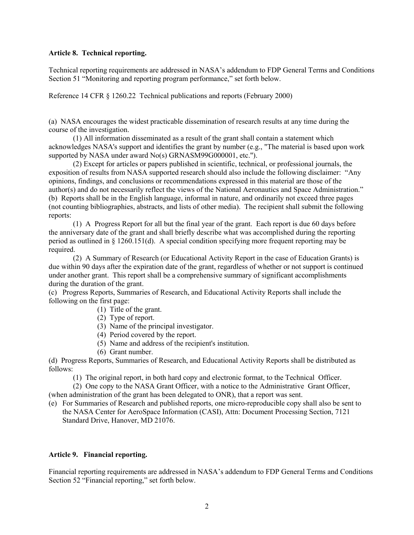#### **Article 8. Technical reporting.**

Technical reporting requirements are addressed in NASA's addendum to FDP General Terms and Conditions Section 51 "Monitoring and reporting program performance," set forth below.

Reference 14 CFR § 1260.22 Technical publications and reports (February 2000)

(a) NASA encourages the widest practicable dissemination of research results at any time during the course of the investigation.

(1) All information disseminated as a result of the grant shall contain a statement which acknowledges NASA's support and identifies the grant by number (e.g., "The material is based upon work supported by NASA under award No(s) GRNASM99G000001, etc.").

(2) Except for articles or papers published in scientific, technical, or professional journals, the exposition of results from NASA supported research should also include the following disclaimer: "Any opinions, findings, and conclusions or recommendations expressed in this material are those of the author(s) and do not necessarily reflect the views of the National Aeronautics and Space Administration." (b) Reports shall be in the English language, informal in nature, and ordinarily not exceed three pages (not counting bibliographies, abstracts, and lists of other media). The recipient shall submit the following reports:

(1) A Progress Report for all but the final year of the grant. Each report is due 60 days before the anniversary date of the grant and shall briefly describe what was accomplished during the reporting period as outlined in § 1260.151(d). A special condition specifying more frequent reporting may be required.

(2) A Summary of Research (or Educational Activity Report in the case of Education Grants) is due within 90 days after the expiration date of the grant, regardless of whether or not support is continued under another grant. This report shall be a comprehensive summary of significant accomplishments during the duration of the grant.

(c) Progress Reports, Summaries of Research, and Educational Activity Reports shall include the following on the first page:

- (1) Title of the grant.
- (2) Type of report.
- (3) Name of the principal investigator.
- (4) Period covered by the report.
- (5) Name and address of the recipient's institution.
- (6) Grant number.

(d) Progress Reports, Summaries of Research, and Educational Activity Reports shall be distributed as follows:

(1) The original report, in both hard copy and electronic format, to the Technical Officer.

(2) One copy to the NASA Grant Officer, with a notice to the Administrative Grant Officer,

(when administration of the grant has been delegated to ONR), that a report was sent. (e) For Summaries of Research and published reports, one micro-reproducible copy shall also be sent to

the NASA Center for AeroSpace Information (CASI), Attn: Document Processing Section, 7121 Standard Drive, Hanover, MD 21076.

### **Article 9. Financial reporting.**

Financial reporting requirements are addressed in NASA's addendum to FDP General Terms and Conditions Section 52 "Financial reporting," set forth below.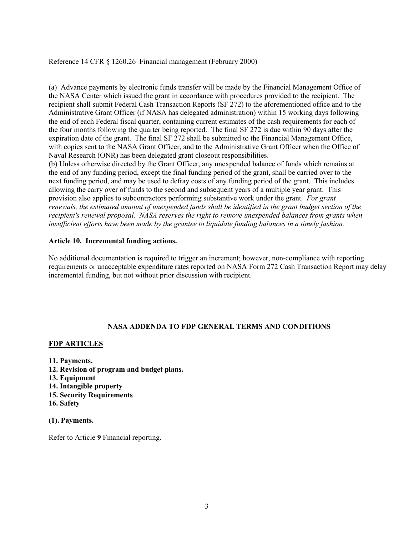# Reference 14 CFR § 1260.26 Financial management (February 2000)

(a) Advance payments by electronic funds transfer will be made by the Financial Management Office of the NASA Center which issued the grant in accordance with procedures provided to the recipient. The recipient shall submit Federal Cash Transaction Reports (SF 272) to the aforementioned office and to the Administrative Grant Officer (if NASA has delegated administration) within 15 working days following the end of each Federal fiscal quarter, containing current estimates of the cash requirements for each of the four months following the quarter being reported. The final SF 272 is due within 90 days after the expiration date of the grant. The final SF 272 shall be submitted to the Financial Management Office, with copies sent to the NASA Grant Officer, and to the Administrative Grant Officer when the Office of Naval Research (ONR) has been delegated grant closeout responsibilities.

(b) Unless otherwise directed by the Grant Officer, any unexpended balance of funds which remains at the end of any funding period, except the final funding period of the grant, shall be carried over to the next funding period, and may be used to defray costs of any funding period of the grant. This includes allowing the carry over of funds to the second and subsequent years of a multiple year grant. This provision also applies to subcontractors performing substantive work under the grant. *For grant renewals, the estimated amount of unexpended funds shall be identified in the grant budget section of the recipient's renewal proposal. NASA reserves the right to remove unexpended balances from grants when insufficient efforts have been made by the grantee to liquidate funding balances in a timely fashion.*

### **Article 10. Incremental funding actions.**

No additional documentation is required to trigger an increment; however, non-compliance with reporting requirements or unacceptable expenditure rates reported on NASA Form 272 Cash Transaction Report may delay incremental funding, but not without prior discussion with recipient.

# **NASA ADDENDA TO FDP GENERAL TERMS AND CONDITIONS**

### **FDP ARTICLES**

- **11. Payments.**
- **12. Revision of program and budget plans.**
- **13. Equipment**
- **14. Intangible property**
- **15. Security Requirements**
- **16. Safety**

### **(1). Payments.**

Refer to Article **9** Financial reporting.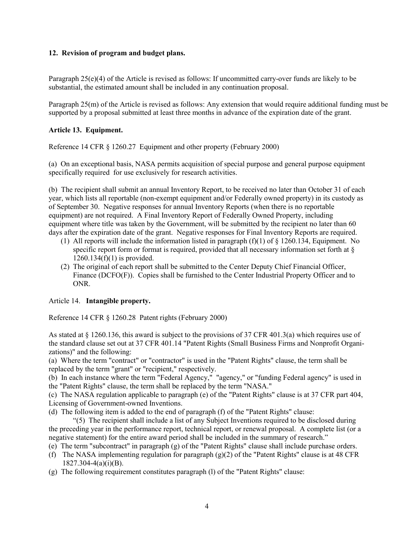# **12. Revision of program and budget plans.**

Paragraph 25(e)(4) of the Article is revised as follows: If uncommitted carry-over funds are likely to be substantial, the estimated amount shall be included in any continuation proposal.

Paragraph 25(m) of the Article is revised as follows: Any extension that would require additional funding must be supported by a proposal submitted at least three months in advance of the expiration date of the grant.

# **Article 13. Equipment.**

Reference 14 CFR § 1260.27 Equipment and other property (February 2000)

(a) On an exceptional basis, NASA permits acquisition of special purpose and general purpose equipment specifically required for use exclusively for research activities.

(b) The recipient shall submit an annual Inventory Report, to be received no later than October 31 of each year, which lists all reportable (non-exempt equipment and/or Federally owned property) in its custody as of September 30. Negative responses for annual Inventory Reports (when there is no reportable equipment) are not required. A Final Inventory Report of Federally Owned Property, including equipment where title was taken by the Government, will be submitted by the recipient no later than 60 days after the expiration date of the grant. Negative responses for Final Inventory Reports are required.

- (1) All reports will include the information listed in paragraph  $(f)(1)$  of  $\S$  1260.134, Equipment. No specific report form or format is required, provided that all necessary information set forth at §  $1260.134(f)(1)$  is provided.
- (2) The original of each report shall be submitted to the Center Deputy Chief Financial Officer, Finance (DCFO(F)). Copies shall be furnished to the Center Industrial Property Officer and to ONR.

# Article 14. **Intangible property.**

Reference 14 CFR § 1260.28 Patent rights (February 2000)

As stated at § 1260.136, this award is subject to the provisions of 37 CFR 401.3(a) which requires use of the standard clause set out at 37 CFR 401.14 "Patent Rights (Small Business Firms and Nonprofit Organizations)" and the following:

(a) Where the term "contract" or "contractor" is used in the "Patent Rights" clause, the term shall be replaced by the term "grant" or "recipient," respectively.

(b) In each instance where the term "Federal Agency," "agency," or "funding Federal agency" is used in the "Patent Rights" clause, the term shall be replaced by the term "NASA."

(c) The NASA regulation applicable to paragraph (e) of the "Patent Rights" clause is at 37 CFR part 404, Licensing of Government-owned Inventions.

(d) The following item is added to the end of paragraph (f) of the "Patent Rights" clause:

"(5) The recipient shall include a list of any Subject Inventions required to be disclosed during the preceding year in the performance report, technical report, or renewal proposal. A complete list (or a negative statement) for the entire award period shall be included in the summary of research."

- (e) The term "subcontract" in paragraph (g) of the "Patent Rights" clause shall include purchase orders.
- (f) The NASA implementing regulation for paragraph (g)(2) of the "Patent Rights" clause is at 48 CFR  $1827.304 - 4(a)(i)(B)$ .
- (g) The following requirement constitutes paragraph (l) of the "Patent Rights" clause: